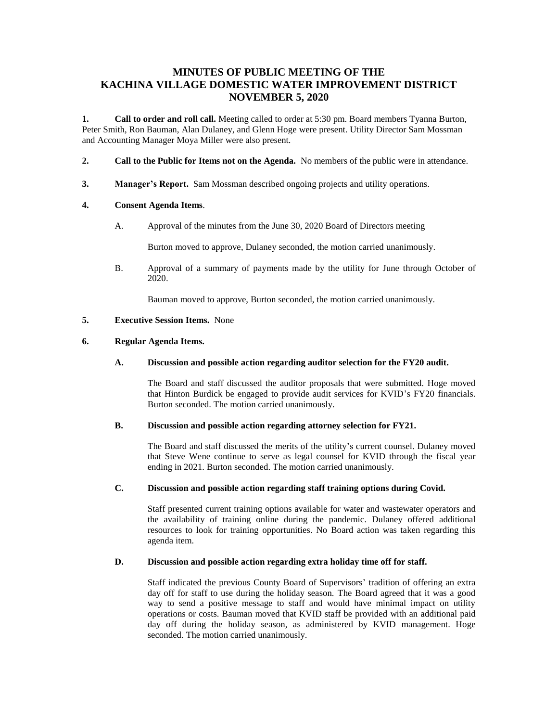# **MINUTES OF PUBLIC MEETING OF THE KACHINA VILLAGE DOMESTIC WATER IMPROVEMENT DISTRICT NOVEMBER 5, 2020**

**1. Call to order and roll call.** Meeting called to order at 5:30 pm. Board members Tyanna Burton, Peter Smith, Ron Bauman, Alan Dulaney, and Glenn Hoge were present. Utility Director Sam Mossman and Accounting Manager Moya Miller were also present.

- **2. Call to the Public for Items not on the Agenda.** No members of the public were in attendance.
- **3. Manager's Report.** Sam Mossman described ongoing projects and utility operations.

#### **4. Consent Agenda Items**.

A. Approval of the minutes from the June 30, 2020 Board of Directors meeting

Burton moved to approve, Dulaney seconded, the motion carried unanimously.

B. Approval of a summary of payments made by the utility for June through October of 2020.

Bauman moved to approve, Burton seconded, the motion carried unanimously.

#### **5. Executive Session Items.** None

#### **6. Regular Agenda Items.**

#### **A. Discussion and possible action regarding auditor selection for the FY20 audit.**

The Board and staff discussed the auditor proposals that were submitted. Hoge moved that Hinton Burdick be engaged to provide audit services for KVID's FY20 financials. Burton seconded. The motion carried unanimously.

#### **B. Discussion and possible action regarding attorney selection for FY21.**

The Board and staff discussed the merits of the utility's current counsel. Dulaney moved that Steve Wene continue to serve as legal counsel for KVID through the fiscal year ending in 2021. Burton seconded. The motion carried unanimously.

#### **C. Discussion and possible action regarding staff training options during Covid.**

Staff presented current training options available for water and wastewater operators and the availability of training online during the pandemic. Dulaney offered additional resources to look for training opportunities. No Board action was taken regarding this agenda item.

#### **D. Discussion and possible action regarding extra holiday time off for staff.**

Staff indicated the previous County Board of Supervisors' tradition of offering an extra day off for staff to use during the holiday season. The Board agreed that it was a good way to send a positive message to staff and would have minimal impact on utility operations or costs. Bauman moved that KVID staff be provided with an additional paid day off during the holiday season, as administered by KVID management. Hoge seconded. The motion carried unanimously.